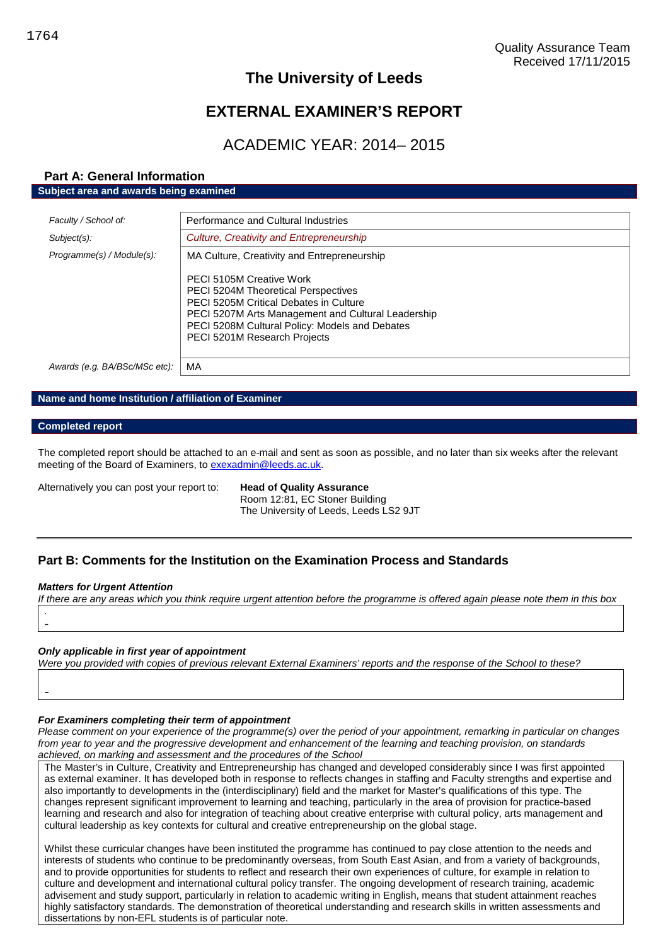# **The University of Leeds**

# **EXTERNAL EXAMINER'S REPORT**

# ACADEMIC YEAR: 2014– 2015

## **Part A: General Information Subject area and awards being examined**

| Faculty / School of:          | Performance and Cultural Industries                                                                                                                                                                                                                      |  |  |
|-------------------------------|----------------------------------------------------------------------------------------------------------------------------------------------------------------------------------------------------------------------------------------------------------|--|--|
| Subject(s):                   | Culture, Creativity and Entrepreneurship                                                                                                                                                                                                                 |  |  |
| Programme(s) / Module(s):     | MA Culture, Creativity and Entrepreneurship                                                                                                                                                                                                              |  |  |
|                               | PECI 5105M Creative Work<br><b>PECI 5204M Theoretical Perspectives</b><br>PECI 5205M Critical Debates in Culture<br>PECI 5207M Arts Management and Cultural Leadership<br>PECI 5208M Cultural Policy: Models and Debates<br>PECI 5201M Research Projects |  |  |
| Awards (e.g. BA/BSc/MSc etc): | МA                                                                                                                                                                                                                                                       |  |  |

## **Name and home Institution / affiliation of Examiner**

#### **Completed report**

The completed report should be attached to an e-mail and sent as soon as possible, and no later than six weeks after the relevant meeting of the Board of Examiners, to [exexadmin@leeds.ac.uk.](mailto:exexadmin@leeds.ac.uk)

Alternatively you can post your report to: **Head of Quality Assurance**

Room 12:81, EC Stoner Building The University of Leeds, Leeds LS2 9JT

## **Part B: Comments for the Institution on the Examination Process and Standards**

#### *Matters for Urgent Attention*

-

*If there are any areas which you think require urgent attention before the programme is offered again please note them in this box .* -

#### *Only applicable in first year of appointment*

*Were you provided with copies of previous relevant External Examiners' reports and the response of the School to these?*

#### *For Examiners completing their term of appointment*

*Please comment on your experience of the programme(s) over the period of your appointment, remarking in particular on changes from year to year and the progressive development and enhancement of the learning and teaching provision, on standards achieved, on marking and assessment and the procedures of the School*

The Master's in Culture, Creativity and Entrepreneurship has changed and developed considerably since I was first appointed as external examiner. It has developed both in response to reflects changes in staffing and Faculty strengths and expertise and also importantly to developments in the (interdisciplinary) field and the market for Master's qualifications of this type. The changes represent significant improvement to learning and teaching, particularly in the area of provision for practice-based learning and research and also for integration of teaching about creative enterprise with cultural policy, arts management and cultural leadership as key contexts for cultural and creative entrepreneurship on the global stage.

Whilst these curricular changes have been instituted the programme has continued to pay close attention to the needs and interests of students who continue to be predominantly overseas, from South East Asian, and from a variety of backgrounds, and to provide opportunities for students to reflect and research their own experiences of culture, for example in relation to culture and development and international cultural policy transfer. The ongoing development of research training, academic advisement and study support, particularly in relation to academic writing in English, means that student attainment reaches highly satisfactory standards. The demonstration of theoretical understanding and research skills in written assessments and dissertations by non-EFL students is of particular note.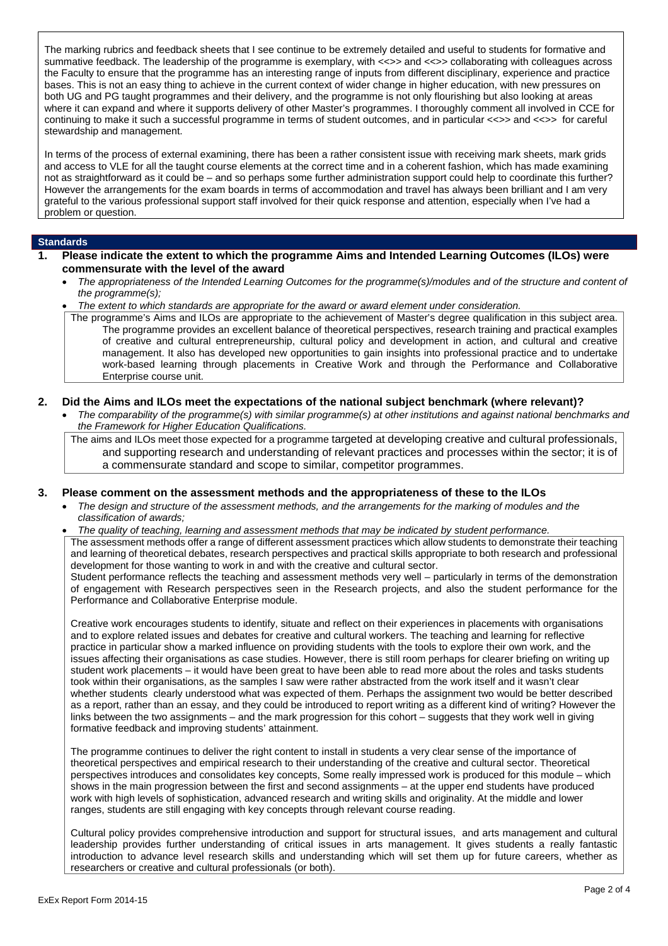The marking rubrics and feedback sheets that I see continue to be extremely detailed and useful to students for formative and summative feedback. The leadership of the programme is exemplary, with <<>> and <<>> collaborating with colleagues across the Faculty to ensure that the programme has an interesting range of inputs from different disciplinary, experience and practice bases. This is not an easy thing to achieve in the current context of wider change in higher education, with new pressures on both UG and PG taught programmes and their delivery, and the programme is not only flourishing but also looking at areas where it can expand and where it supports delivery of other Master's programmes. I thoroughly comment all involved in CCE for continuing to make it such a successful programme in terms of student outcomes, and in particular <<>> and <<>> for careful stewardship and management.

In terms of the process of external examining, there has been a rather consistent issue with receiving mark sheets, mark grids and access to VLE for all the taught course elements at the correct time and in a coherent fashion, which has made examining not as straightforward as it could be – and so perhaps some further administration support could help to coordinate this further? However the arrangements for the exam boards in terms of accommodation and travel has always been brilliant and I am very grateful to the various professional support staff involved for their quick response and attention, especially when I've had a problem or question.

#### **Standards**

- **1. Please indicate the extent to which the programme Aims and Intended Learning Outcomes (ILOs) were commensurate with the level of the award**
	- *The appropriateness of the Intended Learning Outcomes for the programme(s)/modules and of the structure and content of the programme(s);*
	- *The extent to which standards are appropriate for the award or award element under consideration.*

The programme's Aims and ILOs are appropriate to the achievement of Master's degree qualification in this subject area. The programme provides an excellent balance of theoretical perspectives, research training and practical examples of creative and cultural entrepreneurship, cultural policy and development in action, and cultural and creative management. It also has developed new opportunities to gain insights into professional practice and to undertake work-based learning through placements in Creative Work and through the Performance and Collaborative Enterprise course unit.

### **2. Did the Aims and ILOs meet the expectations of the national subject benchmark (where relevant)?**

 *The comparability of the programme(s) with similar programme(s) at other institutions and against national benchmarks and the Framework for Higher Education Qualifications.*

The aims and ILOs meet those expected for a programme targeted at developing creative and cultural professionals, and supporting research and understanding of relevant practices and processes within the sector; it is of a commensurate standard and scope to similar, competitor programmes.

#### **3. Please comment on the assessment methods and the appropriateness of these to the ILOs**

- *The design and structure of the assessment methods, and the arrangements for the marking of modules and the classification of awards;*
- *The quality of teaching, learning and assessment methods that may be indicated by student performance.*

The assessment methods offer a range of different assessment practices which allow students to demonstrate their teaching and learning of theoretical debates, research perspectives and practical skills appropriate to both research and professional development for those wanting to work in and with the creative and cultural sector. Student performance reflects the teaching and assessment methods very well – particularly in terms of the demonstration

of engagement with Research perspectives seen in the Research projects, and also the student performance for the Performance and Collaborative Enterprise module.

Creative work encourages students to identify, situate and reflect on their experiences in placements with organisations and to explore related issues and debates for creative and cultural workers. The teaching and learning for reflective practice in particular show a marked influence on providing students with the tools to explore their own work, and the issues affecting their organisations as case studies. However, there is still room perhaps for clearer briefing on writing up student work placements – it would have been great to have been able to read more about the roles and tasks students took within their organisations, as the samples I saw were rather abstracted from the work itself and it wasn't clear whether students clearly understood what was expected of them. Perhaps the assignment two would be better described as a report, rather than an essay, and they could be introduced to report writing as a different kind of writing? However the links between the two assignments – and the mark progression for this cohort – suggests that they work well in giving formative feedback and improving students' attainment.

The programme continues to deliver the right content to install in students a very clear sense of the importance of theoretical perspectives and empirical research to their understanding of the creative and cultural sector. Theoretical perspectives introduces and consolidates key concepts, Some really impressed work is produced for this module – which shows in the main progression between the first and second assignments – at the upper end students have produced work with high levels of sophistication, advanced research and writing skills and originality. At the middle and lower ranges, students are still engaging with key concepts through relevant course reading.

Cultural policy provides comprehensive introduction and support for structural issues, and arts management and cultural leadership provides further understanding of critical issues in arts management. It gives students a really fantastic introduction to advance level research skills and understanding which will set them up for future careers, whether as researchers or creative and cultural professionals (or both).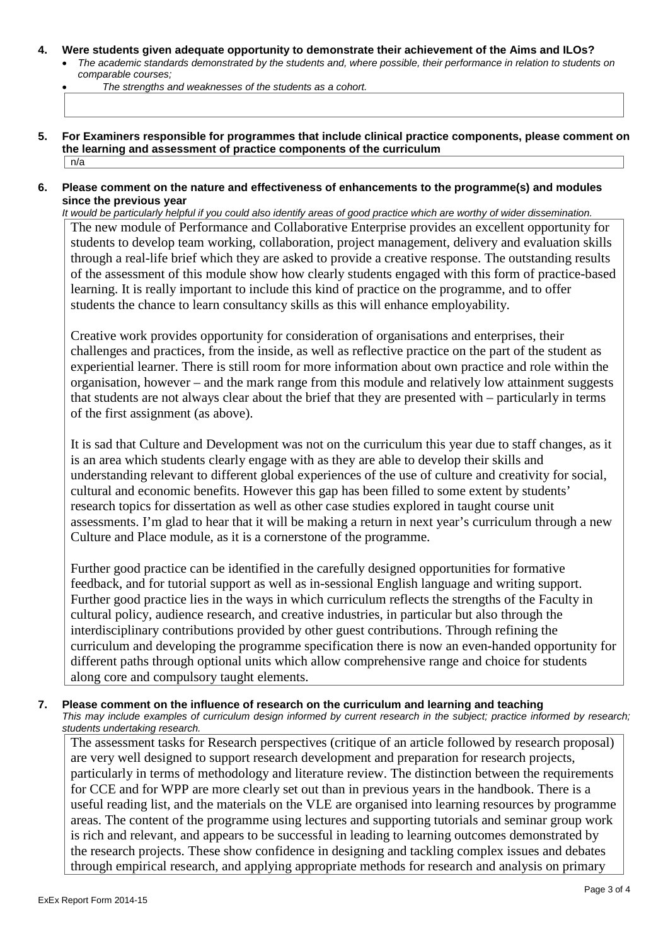#### **4. Were students given adequate opportunity to demonstrate their achievement of the Aims and ILOs?**

 *The academic standards demonstrated by the students and, where possible, their performance in relation to students on comparable courses;*

*The strengths and weaknesses of the students as a cohort.*

- **5. For Examiners responsible for programmes that include clinical practice components, please comment on the learning and assessment of practice components of the curriculum** n/a
- **6. Please comment on the nature and effectiveness of enhancements to the programme(s) and modules since the previous year**

*It would be particularly helpful if you could also identify areas of good practice which are worthy of wider dissemination.* The new module of Performance and Collaborative Enterprise provides an excellent opportunity for students to develop team working, collaboration, project management, delivery and evaluation skills through a real-life brief which they are asked to provide a creative response. The outstanding results of the assessment of this module show how clearly students engaged with this form of practice-based learning. It is really important to include this kind of practice on the programme, and to offer students the chance to learn consultancy skills as this will enhance employability.

Creative work provides opportunity for consideration of organisations and enterprises, their challenges and practices, from the inside, as well as reflective practice on the part of the student as experiential learner. There is still room for more information about own practice and role within the organisation, however – and the mark range from this module and relatively low attainment suggests that students are not always clear about the brief that they are presented with – particularly in terms of the first assignment (as above).

It is sad that Culture and Development was not on the curriculum this year due to staff changes, as it is an area which students clearly engage with as they are able to develop their skills and understanding relevant to different global experiences of the use of culture and creativity for social, cultural and economic benefits. However this gap has been filled to some extent by students' research topics for dissertation as well as other case studies explored in taught course unit assessments. I'm glad to hear that it will be making a return in next year's curriculum through a new Culture and Place module, as it is a cornerstone of the programme.

Further good practice can be identified in the carefully designed opportunities for formative feedback, and for tutorial support as well as in-sessional English language and writing support. Further good practice lies in the ways in which curriculum reflects the strengths of the Faculty in cultural policy, audience research, and creative industries, in particular but also through the interdisciplinary contributions provided by other guest contributions. Through refining the curriculum and developing the programme specification there is now an even-handed opportunity for different paths through optional units which allow comprehensive range and choice for students along core and compulsory taught elements.

**7. Please comment on the influence of research on the curriculum and learning and teaching** *This may include examples of curriculum design informed by current research in the subject; practice informed by research; students undertaking research.*

The assessment tasks for Research perspectives (critique of an article followed by research proposal) are very well designed to support research development and preparation for research projects, particularly in terms of methodology and literature review. The distinction between the requirements for CCE and for WPP are more clearly set out than in previous years in the handbook. There is a useful reading list, and the materials on the VLE are organised into learning resources by programme areas. The content of the programme using lectures and supporting tutorials and seminar group work is rich and relevant, and appears to be successful in leading to learning outcomes demonstrated by the research projects. These show confidence in designing and tackling complex issues and debates through empirical research, and applying appropriate methods for research and analysis on primary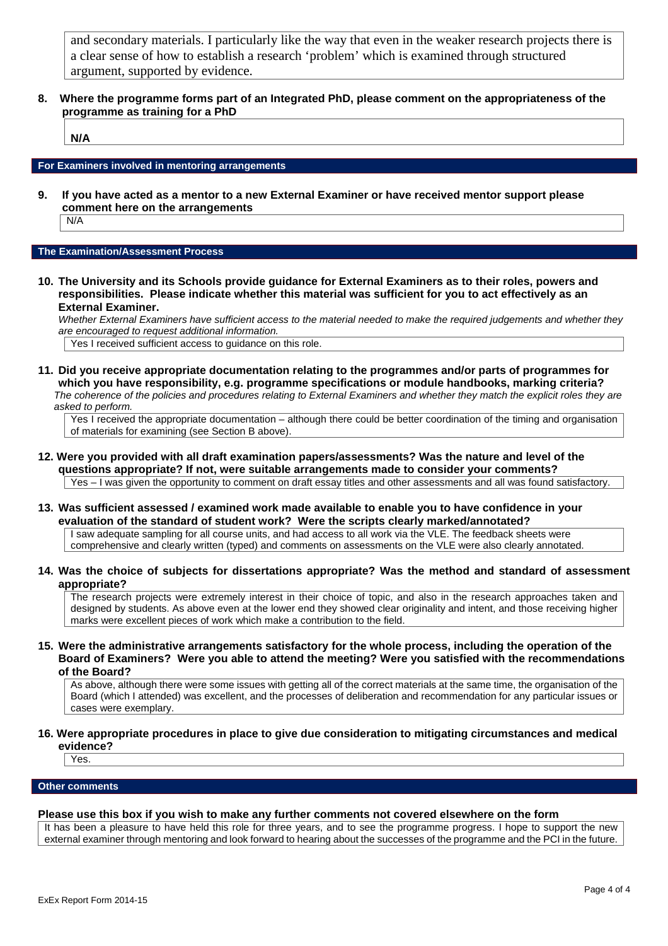and secondary materials. I particularly like the way that even in the weaker research projects there is a clear sense of how to establish a research 'problem' which is examined through structured argument, supported by evidence.

**8. Where the programme forms part of an Integrated PhD, please comment on the appropriateness of the programme as training for a PhD**

**N/A**

#### **For Examiners involved in mentoring arrangements**

**9. If you have acted as a mentor to a new External Examiner or have received mentor support please comment here on the arrangements**

N/A

#### **The Examination/Assessment Process**

**10. The University and its Schools provide guidance for External Examiners as to their roles, powers and responsibilities. Please indicate whether this material was sufficient for you to act effectively as an External Examiner.**

*Whether External Examiners have sufficient access to the material needed to make the required judgements and whether they are encouraged to request additional information.*

Yes I received sufficient access to guidance on this role.

**11. Did you receive appropriate documentation relating to the programmes and/or parts of programmes for which you have responsibility, e.g. programme specifications or module handbooks, marking criteria?** *The coherence of the policies and procedures relating to External Examiners and whether they match the explicit roles they are asked to perform.*

Yes I received the appropriate documentation – although there could be better coordination of the timing and organisation of materials for examining (see Section B above).

- **12. Were you provided with all draft examination papers/assessments? Was the nature and level of the questions appropriate? If not, were suitable arrangements made to consider your comments?** Yes – I was given the opportunity to comment on draft essay titles and other assessments and all was found satisfactory.
- **13. Was sufficient assessed / examined work made available to enable you to have confidence in your evaluation of the standard of student work? Were the scripts clearly marked/annotated?**

I saw adequate sampling for all course units, and had access to all work via the VLE. The feedback sheets were comprehensive and clearly written (typed) and comments on assessments on the VLE were also clearly annotated.

**14. Was the choice of subjects for dissertations appropriate? Was the method and standard of assessment appropriate?**

The research projects were extremely interest in their choice of topic, and also in the research approaches taken and designed by students. As above even at the lower end they showed clear originality and intent, and those receiving higher marks were excellent pieces of work which make a contribution to the field.

**15. Were the administrative arrangements satisfactory for the whole process, including the operation of the Board of Examiners? Were you able to attend the meeting? Were you satisfied with the recommendations of the Board?**

As above, although there were some issues with getting all of the correct materials at the same time, the organisation of the Board (which I attended) was excellent, and the processes of deliberation and recommendation for any particular issues or cases were exemplary.

**16. Were appropriate procedures in place to give due consideration to mitigating circumstances and medical evidence?**

**Yes** 

#### **Other comments**

#### **Please use this box if you wish to make any further comments not covered elsewhere on the form**

It has been a pleasure to have held this role for three years, and to see the programme progress. I hope to support the new external examiner through mentoring and look forward to hearing about the successes of the programme and the PCI in the future.